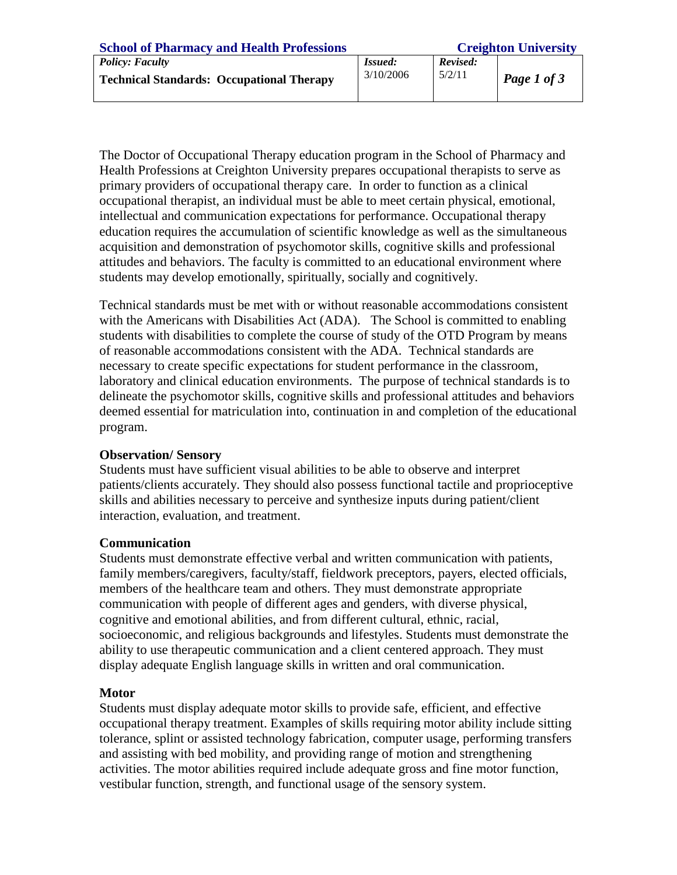| <b>School of Pharmacy and Health Professions</b>                           | <b>Creighton University</b> |                    |             |
|----------------------------------------------------------------------------|-----------------------------|--------------------|-------------|
| <b>Policy: Faculty</b><br><b>Technical Standards: Occupational Therapy</b> | <i>Issued:</i><br>3/10/2006 | Revised:<br>5/2/11 | Page 1 of 3 |
|                                                                            |                             |                    |             |

The Doctor of Occupational Therapy education program in the School of Pharmacy and Health Professions at Creighton University prepares occupational therapists to serve as primary providers of occupational therapy care. In order to function as a clinical occupational therapist, an individual must be able to meet certain physical, emotional, intellectual and communication expectations for performance. Occupational therapy education requires the accumulation of scientific knowledge as well as the simultaneous acquisition and demonstration of psychomotor skills, cognitive skills and professional attitudes and behaviors. The faculty is committed to an educational environment where students may develop emotionally, spiritually, socially and cognitively.

Technical standards must be met with or without reasonable accommodations consistent with the Americans with Disabilities Act (ADA). The School is committed to enabling students with disabilities to complete the course of study of the OTD Program by means of reasonable accommodations consistent with the ADA. Technical standards are necessary to create specific expectations for student performance in the classroom, laboratory and clinical education environments. The purpose of technical standards is to delineate the psychomotor skills, cognitive skills and professional attitudes and behaviors deemed essential for matriculation into, continuation in and completion of the educational program.

### **Observation/ Sensory**

Students must have sufficient visual abilities to be able to observe and interpret patients/clients accurately. They should also possess functional tactile and proprioceptive skills and abilities necessary to perceive and synthesize inputs during patient/client interaction, evaluation, and treatment.

## **Communication**

Students must demonstrate effective verbal and written communication with patients, family members/caregivers, faculty/staff, fieldwork preceptors, payers, elected officials, members of the healthcare team and others. They must demonstrate appropriate communication with people of different ages and genders, with diverse physical, cognitive and emotional abilities, and from different cultural, ethnic, racial, socioeconomic, and religious backgrounds and lifestyles. Students must demonstrate the ability to use therapeutic communication and a client centered approach. They must display adequate English language skills in written and oral communication.

## **Motor**

Students must display adequate motor skills to provide safe, efficient, and effective occupational therapy treatment. Examples of skills requiring motor ability include sitting tolerance, splint or assisted technology fabrication, computer usage, performing transfers and assisting with bed mobility, and providing range of motion and strengthening activities. The motor abilities required include adequate gross and fine motor function, vestibular function, strength, and functional usage of the sensory system.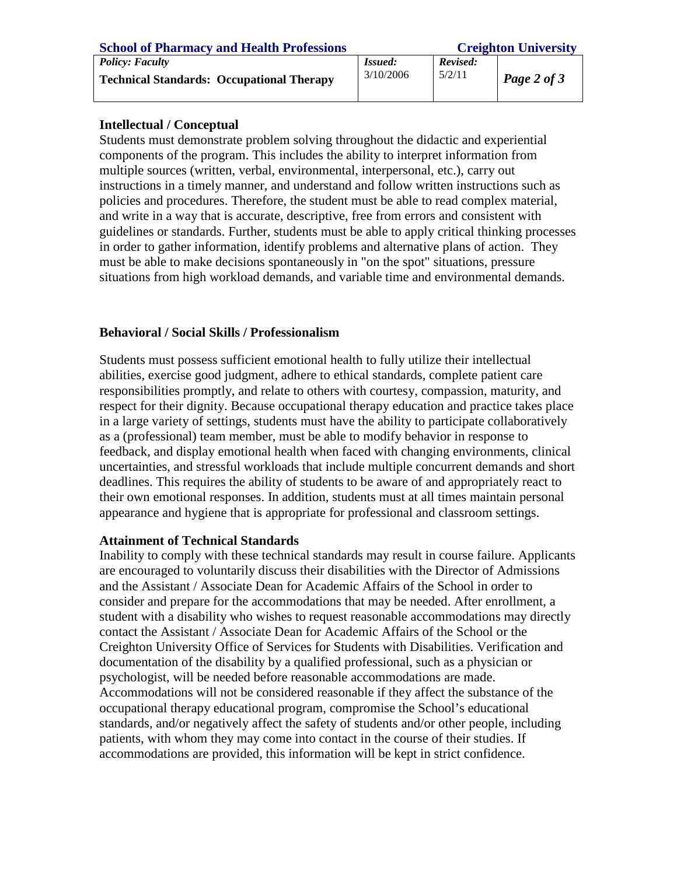| <b>School of Pharmacy and Health Professions</b> | <b>Creighton University</b> |          |             |
|--------------------------------------------------|-----------------------------|----------|-------------|
| <b>Policy: Faculty</b>                           | <i>Issued:</i>              | Revised: |             |
| <b>Technical Standards: Occupational Therapy</b> | 3/10/2006                   | 5/2/11   | Page 2 of 3 |
|                                                  |                             |          |             |

## **Intellectual / Conceptual**

Students must demonstrate problem solving throughout the didactic and experiential components of the program. This includes the ability to interpret information from multiple sources (written, verbal, environmental, interpersonal, etc.), carry out instructions in a timely manner, and understand and follow written instructions such as policies and procedures. Therefore, the student must be able to read complex material, and write in a way that is accurate, descriptive, free from errors and consistent with guidelines or standards. Further, students must be able to apply critical thinking processes in order to gather information, identify problems and alternative plans of action. They must be able to make decisions spontaneously in "on the spot" situations, pressure situations from high workload demands, and variable time and environmental demands.

# **Behavioral / Social Skills / Professionalism**

Students must possess sufficient emotional health to fully utilize their intellectual abilities, exercise good judgment, adhere to ethical standards, complete patient care responsibilities promptly, and relate to others with courtesy, compassion, maturity, and respect for their dignity. Because occupational therapy education and practice takes place in a large variety of settings, students must have the ability to participate collaboratively as a (professional) team member, must be able to modify behavior in response to feedback, and display emotional health when faced with changing environments, clinical uncertainties, and stressful workloads that include multiple concurrent demands and short deadlines. This requires the ability of students to be aware of and appropriately react to their own emotional responses. In addition, students must at all times maintain personal appearance and hygiene that is appropriate for professional and classroom settings.

## **Attainment of Technical Standards**

Inability to comply with these technical standards may result in course failure. Applicants are encouraged to voluntarily discuss their disabilities with the Director of Admissions and the Assistant / Associate Dean for Academic Affairs of the School in order to consider and prepare for the accommodations that may be needed. After enrollment, a student with a disability who wishes to request reasonable accommodations may directly contact the Assistant / Associate Dean for Academic Affairs of the School or the Creighton University Office of Services for Students with Disabilities. Verification and documentation of the disability by a qualified professional, such as a physician or psychologist, will be needed before reasonable accommodations are made. Accommodations will not be considered reasonable if they affect the substance of the occupational therapy educational program, compromise the School's educational standards, and/or negatively affect the safety of students and/or other people, including patients, with whom they may come into contact in the course of their studies. If accommodations are provided, this information will be kept in strict confidence.